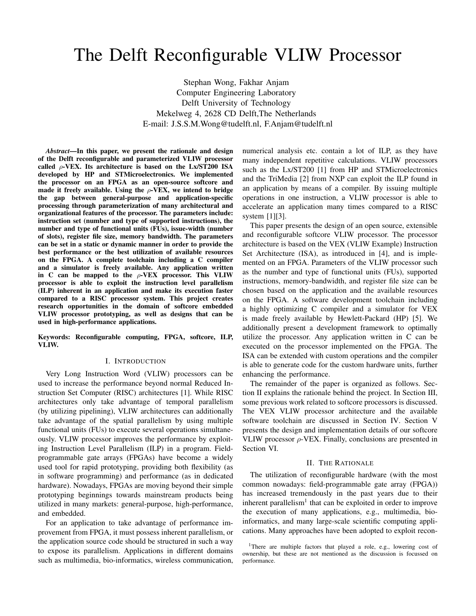# The Delft Reconfigurable VLIW Processor

Stephan Wong, Fakhar Anjam Computer Engineering Laboratory Delft University of Technology Mekelweg 4, 2628 CD Delft,The Netherlands E-mail: J.S.S.M.Wong@tudelft.nl, F.Anjam@tudelft.nl

*Abstract*—In this paper, we present the rationale and design of the Delft reconfigurable and parameterized VLIW processor called  $\rho$ -VEX. Its architecture is based on the Lx/ST200 ISA developed by HP and STMicroelectronics. We implemented the processor on an FPGA as an open-source softcore and made it freely available. Using the  $\rho$ -VEX, we intend to bridge the gap between general-purpose and application-specific processing through parameterization of many architectural and organizational features of the processor. The parameters include: instruction set (number and type of supported instructions), the number and type of functional units (FUs), issue-width (number of slots), register file size, memory bandwidth. The parameters can be set in a static or dynamic manner in order to provide the best performance or the best utilization of available resources on the FPGA. A complete toolchain including a C compiler and a simulator is freely available. Any application written in C can be mapped to the  $\rho$ -VEX processor. This VLIW processor is able to exploit the instruction level parallelism (ILP) inherent in an application and make its execution faster compared to a RISC processor system. This project creates research opportunities in the domain of softcore embedded VLIW processor prototyping, as well as designs that can be used in high-performance applications.

Keywords: Reconfigurable computing, FPGA, softcore, ILP, VLIW.

#### I. INTRODUCTION

Very Long Instruction Word (VLIW) processors can be used to increase the performance beyond normal Reduced Instruction Set Computer (RISC) architectures [1]. While RISC architectures only take advantage of temporal parallelism (by utilizing pipelining), VLIW architectures can additionally take advantage of the spatial parallelism by using multiple functional units (FUs) to execute several operations simultaneously. VLIW processor improves the performance by exploiting Instruction Level Parallelism (ILP) in a program. Fieldprogrammable gate arrays (FPGAs) have become a widely used tool for rapid prototyping, providing both flexibility (as in software programming) and performance (as in dedicated hardware). Nowadays, FPGAs are moving beyond their simple prototyping beginnings towards mainstream products being utilized in many markets: general-purpose, high-performance, and embedded.

For an application to take advantage of performance improvement from FPGA, it must possess inherent parallelism, or the application source code should be structured in such a way to expose its parallelism. Applications in different domains such as multimedia, bio-informatics, wireless communication, numerical analysis etc. contain a lot of ILP, as they have many independent repetitive calculations. VLIW processors such as the Lx/ST200 [1] from HP and STMicroelectronics and the TriMedia [2] from NXP can exploit the ILP found in an application by means of a compiler. By issuing multiple operations in one instruction, a VLIW processor is able to accelerate an application many times compared to a RISC system [1][3].

This paper presents the design of an open source, extensible and reconfigurable softcore VLIW processor. The processor architecture is based on the VEX (VLIW Example) Instruction Set Architecture (ISA), as introduced in [4], and is implemented on an FPGA. Parameters of the VLIW processor such as the number and type of functional units (FUs), supported instructions, memory-bandwidth, and register file size can be chosen based on the application and the available resources on the FPGA. A software development toolchain including a highly optimizing C compiler and a simulator for VEX is made freely available by Hewlett-Packard (HP) [5]. We additionally present a development framework to optimally utilize the processor. Any application written in C can be executed on the processor implemented on the FPGA. The ISA can be extended with custom operations and the compiler is able to generate code for the custom hardware units, further enhancing the performance.

The remainder of the paper is organized as follows. Section II explains the rationale behind the project. In Section III, some previous work related to softcore processors is discussed. The VEX VLIW processor architecture and the available software toolchain are discussed in Section IV. Section V presents the design and implementation details of our softcore VLIW processor  $\rho$ -VEX. Finally, conclusions are presented in Section VI.

## II. THE RATIONALE

The utilization of reconfigurable hardware (with the most common nowadays: field-programmable gate array (FPGA)) has increased tremendously in the past years due to their inherent parallelism<sup>1</sup> that can be exploited in order to improve the execution of many applications, e.g., multimedia, bioinformatics, and many large-scale scientific computing applications. Many approaches have been adopted to exploit recon-

<sup>&</sup>lt;sup>1</sup>There are multiple factors that played a role, e.g., lowering cost of ownership, but these are not mentioned as the discussion is focussed on performance.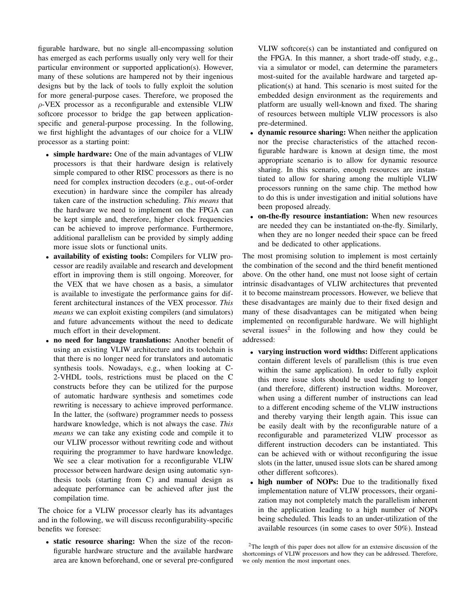figurable hardware, but no single all-encompassing solution has emerged as each performs usually only very well for their particular environment or supported application(s). However, many of these solutions are hampered not by their ingenious designs but by the lack of tools to fully exploit the solution for more general-purpose cases. Therefore, we proposed the ρ-VEX processor as a reconfigurable and extensible VLIW softcore processor to bridge the gap between applicationspecific and general-purpose processing. In the following, we first highlight the advantages of our choice for a VLIW processor as a starting point:

- simple hardware: One of the main advantages of VLIW processors is that their hardware design is relatively simple compared to other RISC processors as there is no need for complex instruction decoders (e.g., out-of-order execution) in hardware since the compiler has already taken care of the instruction scheduling. *This means* that the hardware we need to implement on the FPGA can be kept simple and, therefore, higher clock frequencies can be achieved to improve performance. Furthermore, additional parallelism can be provided by simply adding more issue slots or functional units.
- availability of existing tools: Compilers for VLIW processor are readily available and research and development effort in improving them is still ongoing. Moreover, for the VEX that we have chosen as a basis, a simulator is available to investigate the performance gains for different architectural instances of the VEX processor. *This means* we can exploit existing compilers (and simulators) and future advancements without the need to dedicate much effort in their development.
- no need for language translations: Another benefit of using an existing VLIW architecture and its toolchain is that there is no longer need for translators and automatic synthesis tools. Nowadays, e.g., when looking at C-2-VHDL tools, restrictions must be placed on the C constructs before they can be utilized for the purpose of automatic hardware synthesis and sometimes code rewriting is necessary to achieve improved performance. In the latter, the (software) programmer needs to possess hardware knowledge, which is not always the case. *This means* we can take any existing code and compile it to our VLIW processor without rewriting code and without requiring the programmer to have hardware knowledge. We see a clear motivation for a reconfigurable VLIW processor between hardware design using automatic synthesis tools (starting from C) and manual design as adequate performance can be achieved after just the compilation time.

The choice for a VLIW processor clearly has its advantages and in the following, we will discuss reconfigurability-specific benefits we foresee:

• static resource sharing: When the size of the reconfigurable hardware structure and the available hardware area are known beforehand, one or several pre-configured

VLIW softcore(s) can be instantiated and configured on the FPGA. In this manner, a short trade-off study, e.g., via a simulator or model, can determine the parameters most-suited for the available hardware and targeted application(s) at hand. This scenario is most suited for the embedded design environment as the requirements and platform are usually well-known and fixed. The sharing of resources between multiple VLIW processors is also pre-determined.

- dynamic resource sharing: When neither the application nor the precise characteristics of the attached reconfigurable hardware is known at design time, the most appropriate scenario is to allow for dynamic resource sharing. In this scenario, enough resources are instantiated to allow for sharing among the multiple VLIW processors running on the same chip. The method how to do this is under investigation and initial solutions have been proposed already.
- on-the-fly resource instantiation: When new resources are needed they can be instantiated on-the-fly. Similarly, when they are no longer needed their space can be freed and be dedicated to other applications.

The most promising solution to implement is most certainly the combination of the second and the third benefit mentioned above. On the other hand, one must not loose sight of certain intrinsic disadvantages of VLIW architectures that prevented it to become mainstream processors. However, we believe that these disadvantages are mainly due to their fixed design and many of these disadvantages can be mitigated when being implemented on reconfigurable hardware. We will highlight several issues<sup>2</sup> in the following and how they could be addressed:

- varying instruction word widths: Different applications contain different levels of parallelism (this is true even within the same application). In order to fully exploit this more issue slots should be used leading to longer (and therefore, different) instruction widths. Moreover, when using a different number of instructions can lead to a different encoding scheme of the VLIW instructions and thereby varying their length again. This issue can be easily dealt with by the reconfigurable nature of a reconfigurable and parameterized VLIW processor as different instruction decoders can be instantiated. This can be achieved with or without reconfiguring the issue slots (in the latter, unused issue slots can be shared among other different softcores).
- high number of NOPs: Due to the traditionally fixed implementation nature of VLIW processors, their organization may not completely match the parallelism inherent in the application leading to a high number of NOPs being scheduled. This leads to an under-utilization of the available resources (in some cases to over 50%). Instead

<sup>2</sup>The length of this paper does not allow for an extensive discussion of the shortcomings of VLIW processors and how they can be addressed. Therefore, we only mention the most important ones.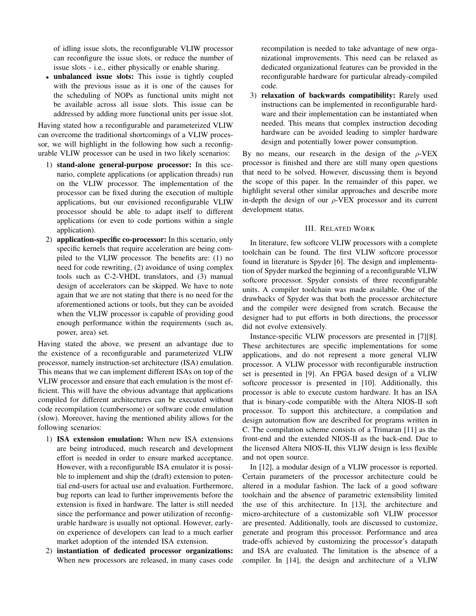of idling issue slots, the reconfigurable VLIW processor can reconfigure the issue slots, or reduce the number of issue slots - i.e., either physically or enable sharing.

• unbalanced issue slots: This issue is tightly coupled with the previous issue as it is one of the causes for the scheduling of NOPs as functional units might not be available across all issue slots. This issue can be addressed by adding more functional units per issue slot.

Having stated how a reconfigurable and parameterized VLIW can overcome the traditional shortcomings of a VLIW processor, we will highlight in the following how such a reconfigurable VLIW processor can be used in two likely scenarios:

- 1) stand-alone general-purpose processor: In this scenario, complete applications (or application threads) run on the VLIW processor. The implementation of the processor can be fixed during the execution of multiple applications, but our envisioned reconfigurable VLIW processor should be able to adapt itself to different applications (or even to code portions within a single application).
- 2) application-specific co-processor: In this scenario, only specific kernels that require acceleration are being compiled to the VLIW processor. The benefits are: (1) no need for code rewriting, (2) avoidance of using complex tools such as C-2-VHDL translators, and (3) manual design of accelerators can be skipped. We have to note again that we are not stating that there is no need for the aforementioned actions or tools, but they can be avoided when the VLIW processor is capable of providing good enough performance within the requirements (such as, power, area) set.

Having stated the above, we present an advantage due to the existence of a reconfigurable and parameterized VLIW processor, namely instruction-set architecture (ISA) emulation. This means that we can implement different ISAs on top of the VLIW processor and ensure that each emulation is the most efficient. This will have the obvious advantage that applications compiled for different architectures can be executed without code recompilation (cumbersome) or software code emulation (slow). Moreover, having the mentioned ability allows for the following scenarios:

- 1) ISA extension emulation: When new ISA extensions are being introduced, much research and development effort is needed in order to ensure marked acceptance. However, with a reconfigurable ISA emulator it is possible to implement and ship the (draft) extension to potential end-users for actual use and evaluation. Furthermore, bug reports can lead to further improvements before the extension is fixed in hardware. The latter is still needed since the performance and power utilization of reconfigurable hardware is usually not optional. However, earlyon experience of developers can lead to a much earlier market adoption of the intended ISA extension.
- 2) instantiation of dedicated processor organizations: When new processors are released, in many cases code

recompilation is needed to take advantage of new organizational improvements. This need can be relaxed as dedicated organizational features can be provided in the reconfigurable hardware for particular already-compiled code.

3) relaxation of backwards compatibility: Rarely used instructions can be implemented in reconfigurable hardware and their implementation can be instantiated when needed. This means that complex instruction decoding hardware can be avoided leading to simpler hardware design and potentially lower power consumption.

By no means, our research in the design of the  $\rho$ -VEX processor is finished and there are still many open questions that need to be solved. However, discussing them is beyond the scope of this paper. In the remainder of this paper, we highlight several other similar approaches and describe more in-depth the design of our  $\rho$ -VEX processor and its current development status.

# III. RELATED WORK

In literature, few softcore VLIW processors with a complete toolchain can be found. The first VLIW softcore processor found in literature is Spyder [6]. The design and implementation of Spyder marked the beginning of a reconfigurable VLIW softcore processor. Spyder consists of three reconfigurable units. A compiler toolchain was made available. One of the drawbacks of Spyder was that both the processor architecture and the compiler were designed from scratch. Because the designer had to put efforts in both directions, the processor did not evolve extensively.

Instance-specific VLIW processors are presented in [7][8]. These architectures are specific implementations for some applications, and do not represent a more general VLIW processor. A VLIW processor with reconfigurable instruction set is presented in [9]. An FPGA based design of a VLIW softcore processor is presented in [10]. Additionally, this processor is able to execute custom hardware. It has an ISA that is binary-code compatible with the Altera NIOS-II soft processor. To support this architecture, a compilation and design automation flow are described for programs written in C. The compilation scheme consists of a Trimaran [11] as the front-end and the extended NIOS-II as the back-end. Due to the licensed Altera NIOS-II, this VLIW design is less flexible and not open source.

In [12], a modular design of a VLIW processor is reported. Certain parameters of the processor architecture could be altered in a modular fashion. The lack of a good software toolchain and the absence of parametric extensibility limited the use of this architecture. In [13], the architecture and micro-architecture of a customizable soft VLIW processor are presented. Additionally, tools are discussed to customize, generate and program this processor. Performance and area trade-offs achieved by customizing the processor's datapath and ISA are evaluated. The limitation is the absence of a compiler. In [14], the design and architecture of a VLIW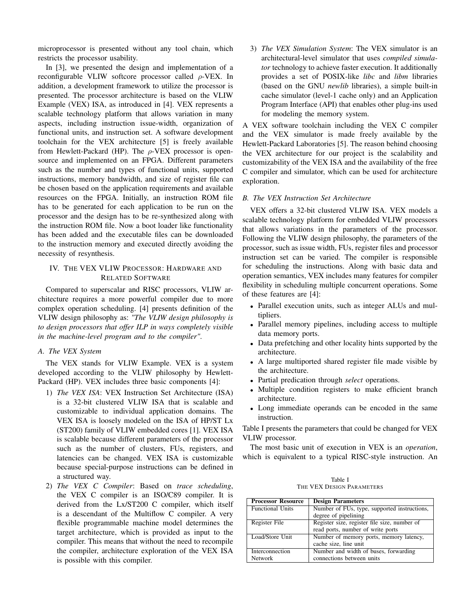microprocessor is presented without any tool chain, which restricts the processor usability.

In [3], we presented the design and implementation of a reconfigurable VLIW softcore processor called  $\rho$ -VEX. In addition, a development framework to utilize the processor is presented. The processor architecture is based on the VLIW Example (VEX) ISA, as introduced in [4]. VEX represents a scalable technology platform that allows variation in many aspects, including instruction issue-width, organization of functional units, and instruction set. A software development toolchain for the VEX architecture [5] is freely available from Hewlett-Packard (HP). The  $\rho$ -VEX processor is opensource and implemented on an FPGA. Different parameters such as the number and types of functional units, supported instructions, memory bandwidth, and size of register file can be chosen based on the application requirements and available resources on the FPGA. Initially, an instruction ROM file has to be generated for each application to be run on the processor and the design has to be re-synthesized along with the instruction ROM file. Now a boot loader like functionality has been added and the executable files can be downloaded to the instruction memory and executed directly avoiding the necessity of resynthesis.

# IV. THE VEX VLIW PROCESSOR: HARDWARE AND RELATED SOFTWARE

Compared to superscalar and RISC processors, VLIW architecture requires a more powerful compiler due to more complex operation scheduling. [4] presents definition of the VLIW design philosophy as: *"The VLIW design philosophy is to design processors that offer ILP in ways completely visible in the machine-level program and to the compiler"*.

# *A. The VEX System*

The VEX stands for VLIW Example. VEX is a system developed according to the VLIW philosophy by Hewlett-Packard (HP). VEX includes three basic components [4]:

- 1) *The VEX ISA*: VEX Instruction Set Architecture (ISA) is a 32-bit clustered VLIW ISA that is scalable and customizable to individual application domains. The VEX ISA is loosely modeled on the ISA of HP/ST Lx (ST200) family of VLIW embedded cores [1]. VEX ISA is scalable because different parameters of the processor such as the number of clusters, FUs, registers, and latencies can be changed. VEX ISA is customizable because special-purpose instructions can be defined in a structured way.
- 2) *The VEX C Compiler*: Based on *trace scheduling*, the VEX C compiler is an ISO/C89 compiler. It is derived from the Lx/ST200 C compiler, which itself is a descendant of the Multiflow C compiler. A very flexible programmable machine model determines the target architecture, which is provided as input to the compiler. This means that without the need to recompile the compiler, architecture exploration of the VEX ISA is possible with this compiler.

3) *The VEX Simulation System*: The VEX simulator is an architectural-level simulator that uses *compiled simulator* technology to achieve faster execution. It additionally provides a set of POSIX-like *libc* and *libm* libraries (based on the GNU *newlib* libraries), a simple built-in cache simulator (level-1 cache only) and an Application Program Interface (API) that enables other plug-ins used for modeling the memory system.

A VEX software toolchain including the VEX C compiler and the VEX simulator is made freely available by the Hewlett-Packard Laboratories [5]. The reason behind choosing the VEX architecture for our project is the scalability and customizability of the VEX ISA and the availability of the free C compiler and simulator, which can be used for architecture exploration.

#### *B. The VEX Instruction Set Architecture*

VEX offers a 32-bit clustered VLIW ISA. VEX models a scalable technology platform for embedded VLIW processors that allows variations in the parameters of the processor. Following the VLIW design philosophy, the parameters of the processor, such as issue width, FUs, register files and processor instruction set can be varied. The compiler is responsible for scheduling the instructions. Along with basic data and operation semantics, VEX includes many features for compiler flexibility in scheduling multiple concurrent operations. Some of these features are [4]:

- Parallel execution units, such as integer ALUs and multipliers.
- Parallel memory pipelines, including access to multiple data memory ports.
- Data prefetching and other locality hints supported by the architecture.
- A large multiported shared register file made visible by the architecture.
- Partial predication through *select* operations.
- Multiple condition registers to make efficient branch architecture.
- Long immediate operands can be encoded in the same instruction.

Table I presents the parameters that could be changed for VEX VLIW processor.

The most basic unit of execution in VEX is an *operation*, which is equivalent to a typical RISC-style instruction. An

Table I THE VEX DESIGN PARAMETERS

| <b>Processor Resource</b> | <b>Design Parameters</b>                     |  |
|---------------------------|----------------------------------------------|--|
| <b>Functional Units</b>   | Number of FUs, type, supported instructions, |  |
|                           | degree of pipelining                         |  |
| Register File             | Register size, register file size, number of |  |
|                           | read ports, number of write ports            |  |
| Load/Store Unit           | Number of memory ports, memory latency,      |  |
|                           | cache size, line unit                        |  |
| Interconnection           | Number and width of buses, forwarding        |  |
| <b>Network</b>            | connections between units                    |  |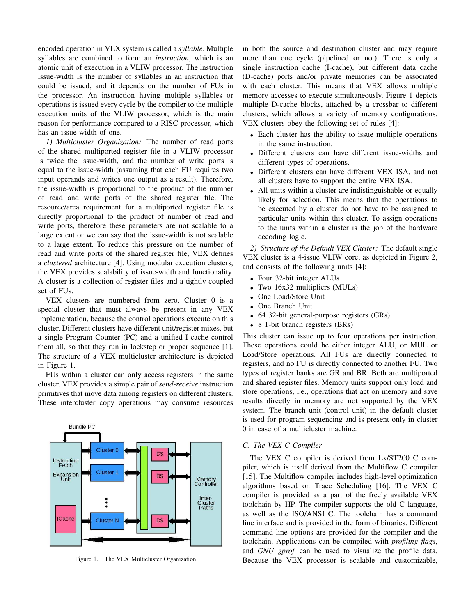encoded operation in VEX system is called a *syllable*. Multiple syllables are combined to form an *instruction*, which is an atomic unit of execution in a VLIW processor. The instruction issue-width is the number of syllables in an instruction that could be issued, and it depends on the number of FUs in the processor. An instruction having multiple syllables or operations is issued every cycle by the compiler to the multiple execution units of the VLIW processor, which is the main reason for performance compared to a RISC processor, which has an issue-width of one.

*1) Multicluster Organization:* The number of read ports of the shared multiported register file in a VLIW processor is twice the issue-width, and the number of write ports is equal to the issue-width (assuming that each FU requires two input operands and writes one output as a result). Therefore, the issue-width is proportional to the product of the number of read and write ports of the shared register file. The resource/area requirement for a multiported register file is directly proportional to the product of number of read and write ports, therefore these parameters are not scalable to a large extent or we can say that the issue-width is not scalable to a large extent. To reduce this pressure on the number of read and write ports of the shared register file, VEX defines a *clustered* architecture [4]. Using modular execution clusters, the VEX provides scalability of issue-width and functionality. A cluster is a collection of register files and a tightly coupled set of FUs.

VEX clusters are numbered from zero. Cluster 0 is a special cluster that must always be present in any VEX implementation, because the control operations execute on this cluster. Different clusters have different unit/register mixes, but a single Program Counter (PC) and a unified I-cache control them all, so that they run in lockstep or proper sequence [1]. The structure of a VEX multicluster architecture is depicted in Figure 1.

FUs within a cluster can only access registers in the same cluster. VEX provides a simple pair of *send-receive* instruction primitives that move data among registers on different clusters. These intercluster copy operations may consume resources



Figure 1. The VEX Multicluster Organization

in both the source and destination cluster and may require more than one cycle (pipelined or not). There is only a single instruction cache (I-cache), but different data cache (D-cache) ports and/or private memories can be associated with each cluster. This means that VEX allows multiple memory accesses to execute simultaneously. Figure 1 depicts multiple D-cache blocks, attached by a crossbar to different clusters, which allows a variety of memory configurations. VEX clusters obey the following set of rules [4]:

- Each cluster has the ability to issue multiple operations in the same instruction.
- Different clusters can have different issue-widths and different types of operations.
- Different clusters can have different VEX ISA, and not all clusters have to support the entire VEX ISA.
- All units within a cluster are indistinguishable or equally likely for selection. This means that the operations to be executed by a cluster do not have to be assigned to particular units within this cluster. To assign operations to the units within a cluster is the job of the hardware decoding logic.

*2) Structure of the Default VEX Cluster:* The default single VEX cluster is a 4-issue VLIW core, as depicted in Figure 2, and consists of the following units [4]:

- Four 32-bit integer ALUs
- Two 16x32 multipliers (MULs)
- One Load/Store Unit
- One Branch Unit
- 64 32-bit general-purpose registers (GRs)
- 8 1-bit branch registers (BRs)

This cluster can issue up to four operations per instruction. These operations could be either integer ALU, or MUL or Load/Store operations. All FUs are directly connected to registers, and no FU is directly connected to another FU. Two types of register banks are GR and BR. Both are multiported and shared register files. Memory units support only load and store operations, i.e., operations that act on memory and save results directly in memory are not supported by the VEX system. The branch unit (control unit) in the default cluster is used for program sequencing and is present only in cluster 0 in case of a multicluster machine.

# *C. The VEX C Compiler*

The VEX C compiler is derived from Lx/ST200 C compiler, which is itself derived from the Multiflow C compiler [15]. The Multiflow compiler includes high-level optimization algorithms based on Trace Scheduling [16]. The VEX C compiler is provided as a part of the freely available VEX toolchain by HP. The compiler supports the old C language, as well as the ISO/ANSI C. The toolchain has a command line interface and is provided in the form of binaries. Different command line options are provided for the compiler and the toolchain. Applications can be compiled with *profiling flags*, and *GNU gprof* can be used to visualize the profile data. Because the VEX processor is scalable and customizable,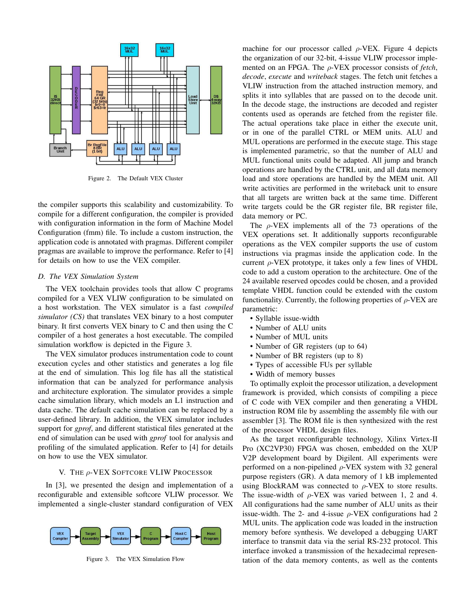

Figure 2. The Default VEX Cluster

the compiler supports this scalability and customizability. To compile for a different configuration, the compiler is provided with configuration information in the form of Machine Model Configuration (fmm) file. To include a custom instruction, the application code is annotated with pragmas. Different compiler pragmas are available to improve the performance. Refer to [4] for details on how to use the VEX compiler.

#### *D. The VEX Simulation System*

The VEX toolchain provides tools that allow C programs compiled for a VEX VLIW configuration to be simulated on a host workstation. The VEX simulator is a fast *compiled simulator (CS)* that translates VEX binary to a host computer binary. It first converts VEX binary to C and then using the C compiler of a host generates a host executable. The compiled simulation workflow is depicted in the Figure 3.

The VEX simulator produces instrumentation code to count execution cycles and other statistics and generates a log file at the end of simulation. This log file has all the statistical information that can be analyzed for performance analysis and architecture exploration. The simulator provides a simple cache simulation library, which models an L1 instruction and data cache. The default cache simulation can be replaced by a user-defined library. In addition, the VEX simulator includes support for *gprof*, and different statistical files generated at the end of simulation can be used with *gprof* tool for analysis and profiling of the simulated application. Refer to [4] for details on how to use the VEX simulator.

## V. THE ρ-VEX SOFTCORE VLIW PROCESSOR

In [3], we presented the design and implementation of a reconfigurable and extensible softcore VLIW processor. We implemented a single-cluster standard configuration of VEX



Figure 3. The VEX Simulation Flow

machine for our processor called  $\rho$ -VEX. Figure 4 depicts the organization of our 32-bit, 4-issue VLIW processor implemented on an FPGA. The ρ-VEX processor consists of *fetch*, *decode*, *execute* and *writeback* stages. The fetch unit fetches a VLIW instruction from the attached instruction memory, and splits it into syllables that are passed on to the decode unit. In the decode stage, the instructions are decoded and register contents used as operands are fetched from the register file. The actual operations take place in either the execute unit, or in one of the parallel CTRL or MEM units. ALU and MUL operations are performed in the execute stage. This stage is implemented parametric, so that the number of ALU and MUL functional units could be adapted. All jump and branch operations are handled by the CTRL unit, and all data memory load and store operations are handled by the MEM unit. All write activities are performed in the writeback unit to ensure that all targets are written back at the same time. Different write targets could be the GR register file, BR register file, data memory or PC.

The  $\rho$ -VEX implements all of the 73 operations of the VEX operations set. It additionally supports reconfigurable operations as the VEX compiler supports the use of custom instructions via pragmas inside the application code. In the current  $\rho$ -VEX prototype, it takes only a few lines of VHDL code to add a custom operation to the architecture. One of the 24 available reserved opcodes could be chosen, and a provided template VHDL function could be extended with the custom functionality. Currently, the following properties of  $\rho$ -VEX are parametric:

- Syllable issue-width
- Number of ALU units
- Number of MUL units
- Number of GR registers (up to 64)
- Number of BR registers (up to 8)
- Types of accessible FUs per syllable
- Width of memory busses

To optimally exploit the processor utilization, a development framework is provided, which consists of compiling a piece of C code with VEX compiler and then generating a VHDL instruction ROM file by assembling the assembly file with our assembler [3]. The ROM file is then synthesized with the rest of the processor VHDL design files.

As the target reconfigurable technology, Xilinx Virtex-II Pro (XC2VP30) FPGA was chosen, embedded on the XUP V2P development board by Digilent. All experiments were performed on a non-pipelined  $\rho$ -VEX system with 32 general purpose registers (GR). A data memory of 1 kB implemented using BlockRAM was connected to  $\rho$ -VEX to store results. The issue-width of  $\rho$ -VEX was varied between 1, 2 and 4. All configurations had the same number of ALU units as their issue-width. The 2- and 4-issue  $\rho$ -VEX configurations had 2 MUL units. The application code was loaded in the instruction memory before synthesis. We developed a debugging UART interface to transmit data via the serial RS-232 protocol. This interface invoked a transmission of the hexadecimal representation of the data memory contents, as well as the contents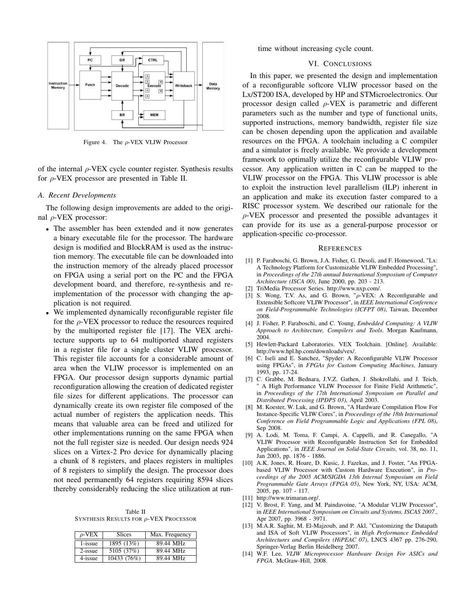

Figure 4. The  $\rho$ -VEX VLIW Processor

of the internal  $\rho$ -VEX cycle counter register. Synthesis results for  $\rho$ -VEX processor are presented in Table II.

### *A. Recent Developments*

The following design improvements are added to the original  $ρ$ -VEX processor:

- The assembler has been extended and it now generates a binary executable file for the processor. The hardware design is modified and BlockRAM is used as the instruction memory. The executable file can be downloaded into the instruction memory of the already placed processor on FPGA using a serial port on the PC and the FPGA development board, and therefore, re-synthesis and reimplementation of the processor with changing the application is not required.
- We implemented dynamically reconfigurable register file for the  $\rho$ -VEX processor to reduce the resources required by the multiported register file [17]. The VEX architecture supports up to 64 multiported shared registers in a register file for a single cluster VLIW processor. This register file accounts for a considerable amount of area when the VLIW processor is implemented on an FPGA. Our processor design supports dynamic partial reconfiguration allowing the creation of dedicated register file sizes for different applications. The processor can dynamically create its own register file composed of the actual number of registers the application needs. This means that valuable area can be freed and utilized for other implementations running on the same FPGA when not the full register size is needed. Our design needs 924 slices on a Virtex-2 Pro device for dynamically placing a chunk of 8 registers, and places registers in multiples of 8 registers to simplify the design. The processor does not need permanently 64 registers requiring 8594 slices thereby considerably reducing the slice utilization at run-

Table II SYNTHESIS RESULTS FOR ρ-VEX PROCESSOR

| $\rho$ -VEX | <b>Slices</b>            | Max. Frequency |
|-------------|--------------------------|----------------|
| 1-issue     | 1895 (13%)               | 89.44 MHz      |
| $2$ -issue  | $5105 \overline{(37\%)}$ | 89.44 MHz      |
| 4-issue     | 10433 (76%)              | 89.44 MHz      |

time without increasing cycle count.

## VI. CONCLUSIONS

In this paper, we presented the design and implementation of a reconfigurable softcore VLIW processor based on the Lx/ST200 ISA, developed by HP and STMicroelectronics. Our processor design called  $\rho$ -VEX is parametric and different parameters such as the number and type of functional units, supported instructions, memory bandwidth, register file size can be chosen depending upon the application and available resources on the FPGA. A toolchain including a C compiler and a simulator is freely available. We provide a development framework to optimally utilize the reconfigurable VLIW processor. Any application written in C can be mapped to the VLIW processor on the FPGA. This VLIW processor is able to exploit the instruction level parallelism (ILP) inherent in an application and make its execution faster compared to a RISC processor system. We described our rationale for the ρ-VEX processor and presented the possible advantages it can provide for its use as a general-purpose processor or application-specific co-processor.

#### **REFERENCES**

- [1] P. Faraboschi, G. Brown, J.A. Fisher, G. Desoli, and F. Homewood, "Lx: A Technology Platform for Customizable VLIW Embedded Processing", in *Proceedings of the 27th annual International Symposium of Computer Architecture (ISCA 00)*, June 2000, pp. 203 - 213.
- [2] TriMedia Processor Series. http://www.nxp.com/.
- [3] S. Wong, T.V. As, and G. Brown, "ρ-VEX: A Reconfigurable and Extensible Softcore VLIW Processor", in *IEEE International Conference on Field-Programmable Technologies (ICFPT 08)*, Taiwan, December 2008.
- [4] J. Fisher, P. Faraboschi, and C. Young, *Embedded Computing: A VLIW Approach to Architecture, Compilers and Tools*. Morgan Kaufmann, 2004.
- [5] Hewlett-Packard Laboratories. VEX Toolchain. [Online]. Available: http://www.hpl.hp.com/downloads/vex/.
- [6] C. Iseli and E. Sanchez, "Spyder: A Reconfigurable VLIW Processor using FPGAs", in *FPGAs for Custom Computing Machines*, January 1993, pp. 17-24.
- [7] C. Grabbe, M. Bednara, J.V.Z. Gathen, J. Shokrollahi, and J. Teich, A High Performance VLIW Processor for Finite Field Arithmetic", in *Proceedings of the 17th International Symposium on Parallel and Distributed Processing (IPDPS 03)*, April 2003.
- [8] M. Koester, W. Luk, and G. Brown, "A Hardware Compilation Flow For Instance-Specific VLIW Cores", in *Proceedings of the 18th International Conference on Field Programmable Logic and Applications (FPL 08)*, Sep 2008.
- [9] A. Lodi, M. Toma, F. Campi, A. Cappelli, and R. Canegallo, "A VLIW Processor with Reconfigurable Instruction Set for Embedded Applications", in *IEEE Journal on Solid-State Circuits*, vol. 38, no. 11, Jan 2003, pp. 1876 - 1886.
- [10] A.K. Jones, R. Hoare, D. Kusic, J. Fazekas, and J. Foster, "An FPGAbased VLIW Processor with Custom Hardware Execution", in *Proceedings of the 2005 ACM/SIGDA 13th Internal Symposium on Field Programmable Gate Arrays (FPGA 05)*, New York, NY, USA: ACM, 2005, pp. 107 - 117.
- [11] http://www.trimaran.org/.
- [12] V. Brost, F. Yang, and M. Paindavoine, "A Modular VLIW Processor", in *IEEE International Symposium on Circuits and Systems, ISCAS 2007*., Apr 2007, pp. 3968 - 3971.
- [13] M.A.R. Saghir, M. El-Majzoub, and P. Akl, "Customizing the Datapath and ISA of Soft VLIW Processors", in *High Performance Embedded Architectures and Compilers (HiPEAC 07)*, LNCS 4367 pp. 276-290, Springer-Verlag Berlin Heidelberg 2007.
- [14] W.F. Lee, *VLIW Microprocessor Hardware Design For ASICs and FPGA*. McGraw-Hill, 2008.